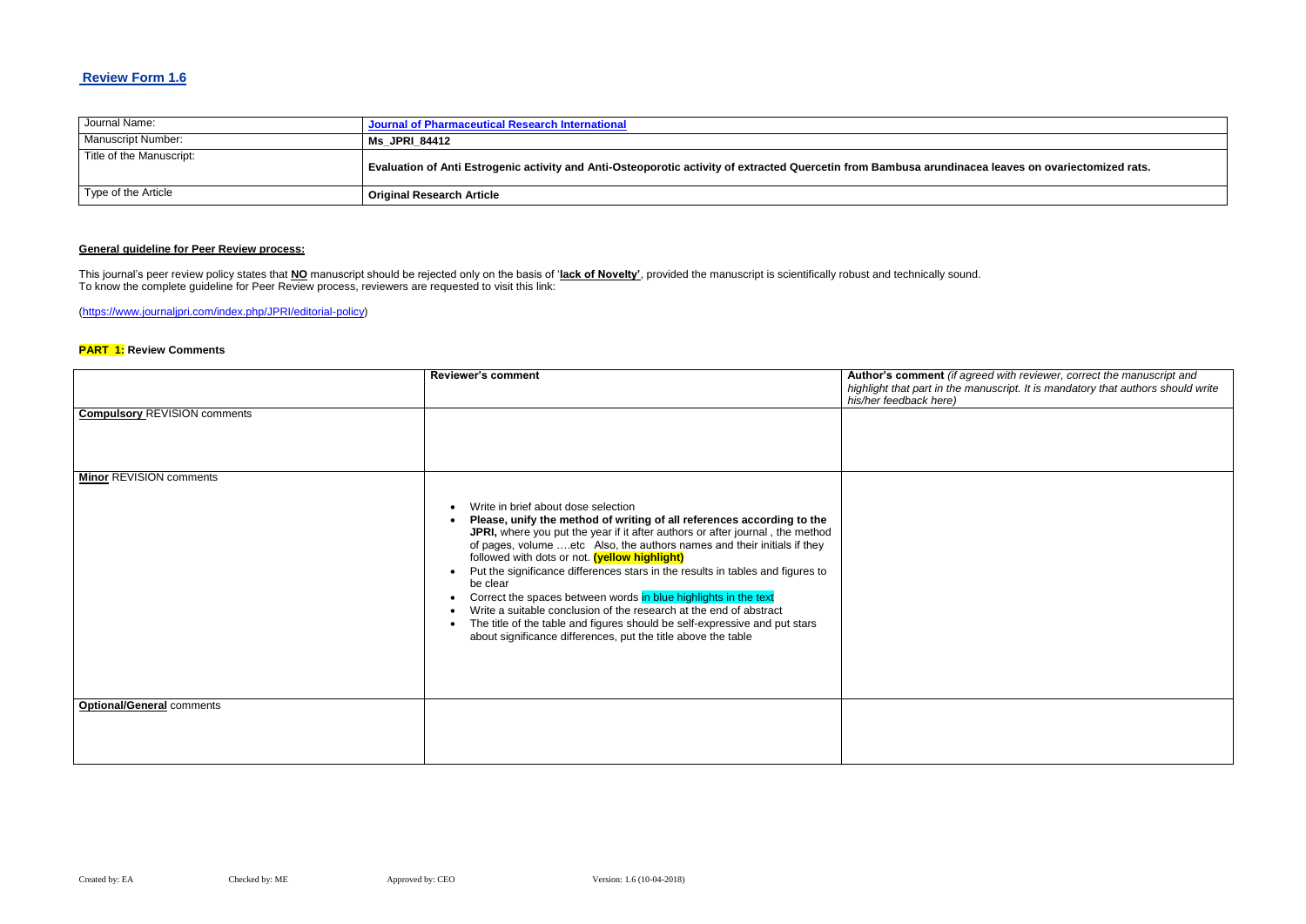## **Review Form 1.6**

| Journal Name:            | Journal of Pharmaceutical Research International                                                                      |
|--------------------------|-----------------------------------------------------------------------------------------------------------------------|
| Manuscript Number:       | <b>Ms JPRI 84412</b>                                                                                                  |
| Title of the Manuscript: | Evaluation of Anti Estrogenic activity and Anti-Osteoporotic activity of extracted Quercetin from Bambusa arundinacea |
| Type of the Article      | <sup>1</sup> Original Research Article                                                                                |

## **General guideline for Peer Review process:**

#### **Red with reviewer, correct the manuscript and** *highlight that part in the manuscript. It is mandatory that authors should write*

This journal's peer review policy states that **NO** manuscript should be rejected only on the basis of '**lack of Novelty'**, provided the manuscript is scientifically robust and technically sound. To know the complete guideline for Peer Review process, reviewers are requested to visit this link:

[\(https://www.journaljpri.com/index.php/JPRI/editorial-policy\)](https://www.journaljpri.com/index.php/JPRI/editorial-policy)

#### **PART 1: Review Comments**

|                                     | <b>Reviewer's comment</b>                                                                                                                                                                                                                                                                                                                                                                                                                                                                                                                                                                                                                                                                                                                  | Author's comment (if agree<br>highlight that part in the man<br>his/her feedback here) |
|-------------------------------------|--------------------------------------------------------------------------------------------------------------------------------------------------------------------------------------------------------------------------------------------------------------------------------------------------------------------------------------------------------------------------------------------------------------------------------------------------------------------------------------------------------------------------------------------------------------------------------------------------------------------------------------------------------------------------------------------------------------------------------------------|----------------------------------------------------------------------------------------|
| <b>Compulsory REVISION comments</b> |                                                                                                                                                                                                                                                                                                                                                                                                                                                                                                                                                                                                                                                                                                                                            |                                                                                        |
| <b>Minor REVISION comments</b>      | Write in brief about dose selection<br>$\bullet$<br>Please, unify the method of writing of all references according to the<br>JPRI, where you put the year if it after authors or after journal, the method<br>of pages, volume etc Also, the authors names and their initials if they<br>followed with dots or not. (yellow highlight)<br>Put the significance differences stars in the results in tables and figures to<br>be clear<br>Correct the spaces between words in blue highlights in the text<br>$\bullet$<br>Write a suitable conclusion of the research at the end of abstract<br>The title of the table and figures should be self-expressive and put stars<br>about significance differences, put the title above the table |                                                                                        |
| <b>Optional/General comments</b>    |                                                                                                                                                                                                                                                                                                                                                                                                                                                                                                                                                                                                                                                                                                                                            |                                                                                        |

#### **a leaves on ovariectomized rats.**